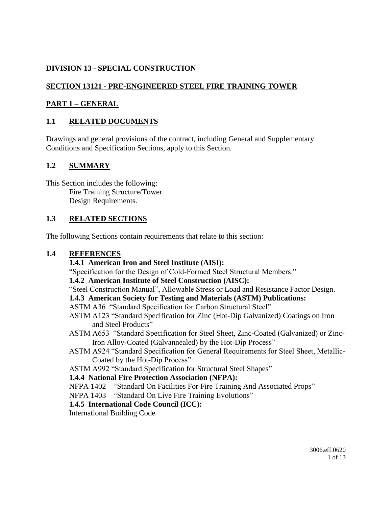## **DIVISION 13 - SPECIAL CONSTRUCTION**

## **SECTION 13121 - PRE-ENGINEERED STEEL FIRE TRAINING TOWER**

#### **PART 1 – GENERAL**

### **1.1 RELATED DOCUMENTS**

Drawings and general provisions of the contract, including General and Supplementary Conditions and Specification Sections, apply to this Section.

#### **1.2 SUMMARY**

This Section includes the following: Fire Training Structure/Tower. Design Requirements.

#### **1.3 RELATED SECTIONS**

The following Sections contain requirements that relate to this section:

#### **1.4 REFERENCES**

#### **1.4.1 American Iron and Steel Institute (AISI):**

"Specification for the Design of Cold-Formed Steel Structural Members."

#### **1.4.2 American Institute of Steel Construction (AISC):**

"Steel Construction Manual", Allowable Stress or Load and Resistance Factor Design.

#### **1.4.3 American Society for Testing and Materials (ASTM) Publications:**

#### ASTM A36 "Standard Specification for Carbon Structural Steel"

- ASTM A123 "Standard Specification for Zinc (Hot-Dip Galvanized) Coatings on Iron and Steel Products"
- ASTM A653 "Standard Specification for Steel Sheet, Zinc-Coated (Galvanized) or Zinc-Iron Alloy-Coated (Galvannealed) by the Hot-Dip Process"
- ASTM A924 "Standard Specification for General Requirements for Steel Sheet, Metallic-Coated by the Hot-Dip Process"
- ASTM A992 "Standard Specification for Structural Steel Shapes"

#### **1.4.4 National Fire Protection Association (NFPA):**

NFPA 1402 – "Standard On Facilities For Fire Training And Associated Props"

NFPA 1403 – "Standard On Live Fire Training Evolutions"

#### **1.4.5 International Code Council (ICC):**

International Building Code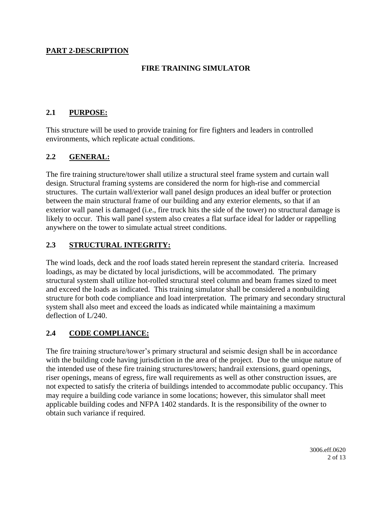#### **PART 2-DESCRIPTION**

#### **FIRE TRAINING SIMULATOR**

#### **2.1 PURPOSE:**

This structure will be used to provide training for fire fighters and leaders in controlled environments, which replicate actual conditions.

#### **2.2 GENERAL:**

The fire training structure/tower shall utilize a structural steel frame system and curtain wall design. Structural framing systems are considered the norm for high-rise and commercial structures. The curtain wall/exterior wall panel design produces an ideal buffer or protection between the main structural frame of our building and any exterior elements, so that if an exterior wall panel is damaged (i.e., fire truck hits the side of the tower) no structural damage is likely to occur. This wall panel system also creates a flat surface ideal for ladder or rappelling anywhere on the tower to simulate actual street conditions.

#### **2.3 STRUCTURAL INTEGRITY:**

The wind loads, deck and the roof loads stated herein represent the standard criteria. Increased loadings, as may be dictated by local jurisdictions, will be accommodated. The primary structural system shall utilize hot-rolled structural steel column and beam frames sized to meet and exceed the loads as indicated. This training simulator shall be considered a nonbuilding structure for both code compliance and load interpretation. The primary and secondary structural system shall also meet and exceed the loads as indicated while maintaining a maximum deflection of L/240.

#### **2.4 CODE COMPLIANCE:**

The fire training structure/tower's primary structural and seismic design shall be in accordance with the building code having jurisdiction in the area of the project. Due to the unique nature of the intended use of these fire training structures/towers; handrail extensions, guard openings, riser openings, means of egress, fire wall requirements as well as other construction issues, are not expected to satisfy the criteria of buildings intended to accommodate public occupancy. This may require a building code variance in some locations; however, this simulator shall meet applicable building codes and NFPA 1402 standards. It is the responsibility of the owner to obtain such variance if required.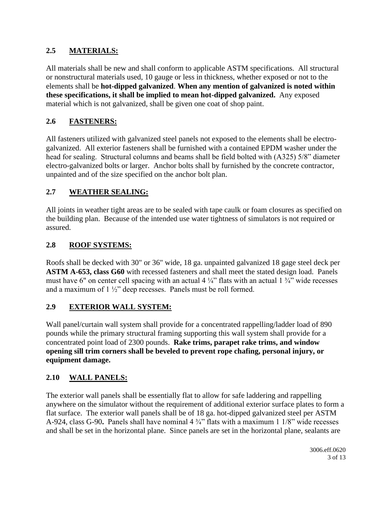## **2.5 MATERIALS:**

All materials shall be new and shall conform to applicable ASTM specifications. All structural or nonstructural materials used, 10 gauge or less in thickness, whether exposed or not to the elements shall be **hot-dipped galvanized**. **When any mention of galvanized is noted within these specifications, it shall be implied to mean hot-dipped galvanized.** Any exposed material which is not galvanized, shall be given one coat of shop paint.

## **2.6 FASTENERS:**

All fasteners utilized with galvanized steel panels not exposed to the elements shall be electrogalvanized. All exterior fasteners shall be furnished with a contained EPDM washer under the head for sealing. Structural columns and beams shall be field bolted with (A325) 5/8" diameter electro-galvanized bolts or larger. Anchor bolts shall by furnished by the concrete contractor, unpainted and of the size specified on the anchor bolt plan.

## **2.7 WEATHER SEALING:**

All joints in weather tight areas are to be sealed with tape caulk or foam closures as specified on the building plan. Because of the intended use water tightness of simulators is not required or assured.

## **2.8 ROOF SYSTEMS:**

Roofs shall be decked with 30" or 36" wide, 18 ga. unpainted galvanized 18 gage steel deck per **ASTM A-653, class G60** with recessed fasteners and shall meet the stated design load. Panels must have 6" on center cell spacing with an actual 4  $\frac{1}{4}$ " flats with an actual 1  $\frac{3}{4}$ " wide recesses and a maximum of 1 ½" deep recesses. Panels must be roll formed.

#### **2.9 EXTERIOR WALL SYSTEM:**

Wall panel/curtain wall system shall provide for a concentrated rappelling/ladder load of 890 pounds while the primary structural framing supporting this wall system shall provide for a concentrated point load of 2300 pounds. **Rake trims, parapet rake trims, and window opening sill trim corners shall be beveled to prevent rope chafing, personal injury, or equipment damage.**

## **2.10 WALL PANELS:**

The exterior wall panels shall be essentially flat to allow for safe laddering and rappelling anywhere on the simulator without the requirement of additional exterior surface plates to form a flat surface. The exterior wall panels shall be of 18 ga. hot-dipped galvanized steel per ASTM A-924, class G-90**.** Panels shall have nominal 4 ¾" flats with a maximum 1 1/8" wide recesses and shall be set in the horizontal plane. Since panels are set in the horizontal plane, sealants are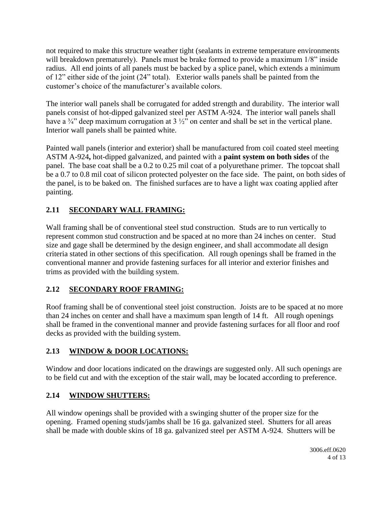not required to make this structure weather tight (sealants in extreme temperature environments will breakdown prematurely). Panels must be brake formed to provide a maximum  $1/8$ " inside radius. All end joints of all panels must be backed by a splice panel, which extends a minimum of 12" either side of the joint (24" total). Exterior walls panels shall be painted from the customer's choice of the manufacturer's available colors.

The interior wall panels shall be corrugated for added strength and durability. The interior wall panels consist of hot-dipped galvanized steel per ASTM A-924. The interior wall panels shall have a  $\frac{3}{4}$ " deep maximum corrugation at 3  $\frac{1}{2}$ " on center and shall be set in the vertical plane. Interior wall panels shall be painted white.

Painted wall panels (interior and exterior) shall be manufactured from coil coated steel meeting ASTM A-924**,** hot-dipped galvanized, and painted with a **paint system on both sides** of the panel. The base coat shall be a 0.2 to 0.25 mil coat of a polyurethane primer. The topcoat shall be a 0.7 to 0.8 mil coat of silicon protected polyester on the face side. The paint, on both sides of the panel, is to be baked on. The finished surfaces are to have a light wax coating applied after painting.

# **2.11 SECONDARY WALL FRAMING:**

Wall framing shall be of conventional steel stud construction. Studs are to run vertically to represent common stud construction and be spaced at no more than 24 inches on center. Stud size and gage shall be determined by the design engineer, and shall accommodate all design criteria stated in other sections of this specification. All rough openings shall be framed in the conventional manner and provide fastening surfaces for all interior and exterior finishes and trims as provided with the building system.

# **2.12 SECONDARY ROOF FRAMING:**

Roof framing shall be of conventional steel joist construction. Joists are to be spaced at no more than 24 inches on center and shall have a maximum span length of 14 ft. All rough openings shall be framed in the conventional manner and provide fastening surfaces for all floor and roof decks as provided with the building system.

# **2.13 WINDOW & DOOR LOCATIONS:**

Window and door locations indicated on the drawings are suggested only. All such openings are to be field cut and with the exception of the stair wall, may be located according to preference.

# **2.14 WINDOW SHUTTERS:**

All window openings shall be provided with a swinging shutter of the proper size for the opening. Framed opening studs/jambs shall be 16 ga. galvanized steel. Shutters for all areas shall be made with double skins of 18 ga. galvanized steel per ASTM A-924. Shutters will be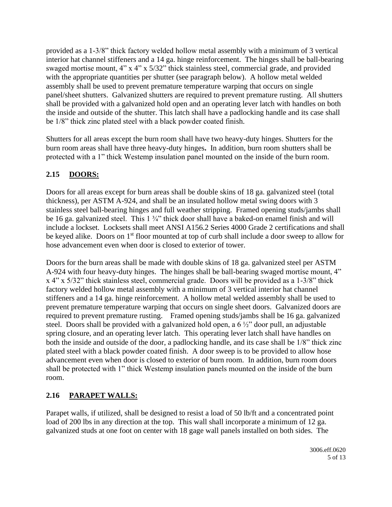provided as a 1-3/8" thick factory welded hollow metal assembly with a minimum of 3 vertical interior hat channel stiffeners and a 14 ga. hinge reinforcement. The hinges shall be ball-bearing swaged mortise mount, 4" x 4" x 5/32" thick stainless steel, commercial grade, and provided with the appropriate quantities per shutter (see paragraph below). A hollow metal welded assembly shall be used to prevent premature temperature warping that occurs on single panel/sheet shutters. Galvanized shutters are required to prevent premature rusting. All shutters shall be provided with a galvanized hold open and an operating lever latch with handles on both the inside and outside of the shutter. This latch shall have a padlocking handle and its case shall be 1/8" thick zinc plated steel with a black powder coated finish.

Shutters for all areas except the burn room shall have two heavy-duty hinges. Shutters for the burn room areas shall have three heavy-duty hinges**.** In addition, burn room shutters shall be protected with a 1" thick Westemp insulation panel mounted on the inside of the burn room.

## **2.15 DOORS:**

Doors for all areas except for burn areas shall be double skins of 18 ga. galvanized steel (total thickness), per ASTM A-924, and shall be an insulated hollow metal swing doors with 3 stainless steel ball-bearing hinges and full weather stripping. Framed opening studs/jambs shall be 16 ga. galvanized steel. This 1 ¼" thick door shall have a baked-on enamel finish and will include a lockset. Locksets shall meet ANSI A156.2 Series 4000 Grade 2 certifications and shall be keyed alike. Doors on 1<sup>st</sup> floor mounted at top of curb shall include a door sweep to allow for hose advancement even when door is closed to exterior of tower.

Doors for the burn areas shall be made with double skins of 18 ga. galvanized steel per ASTM A-924 with four heavy-duty hinges. The hinges shall be ball-bearing swaged mortise mount, 4" x 4" x 5/32" thick stainless steel, commercial grade. Doors will be provided as a 1-3/8" thick factory welded hollow metal assembly with a minimum of 3 vertical interior hat channel stiffeners and a 14 ga. hinge reinforcement. A hollow metal welded assembly shall be used to prevent premature temperature warping that occurs on single sheet doors. Galvanized doors are required to prevent premature rusting. Framed opening studs/jambs shall be 16 ga. galvanized steel. Doors shall be provided with a galvanized hold open, a 6 ½" door pull, an adjustable spring closure, and an operating lever latch. This operating lever latch shall have handles on both the inside and outside of the door, a padlocking handle, and its case shall be 1/8" thick zinc plated steel with a black powder coated finish. A door sweep is to be provided to allow hose advancement even when door is closed to exterior of burn room. In addition, burn room doors shall be protected with 1" thick Westemp insulation panels mounted on the inside of the burn room.

# **2.16 PARAPET WALLS:**

Parapet walls, if utilized, shall be designed to resist a load of 50 lb/ft and a concentrated point load of 200 lbs in any direction at the top. This wall shall incorporate a minimum of 12 ga. galvanized studs at one foot on center with 18 gage wall panels installed on both sides. The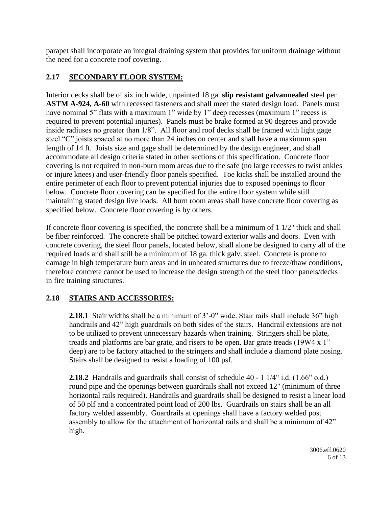parapet shall incorporate an integral draining system that provides for uniform drainage without the need for a concrete roof covering.

## **2.17 SECONDARY FLOOR SYSTEM:**

Interior decks shall be of six inch wide, unpainted 18 ga. **slip resistant galvannealed** steel per **ASTM A-924, A-60** with recessed fasteners and shall meet the stated design load. Panels must have nominal 5" flats with a maximum 1" wide by 1" deep recesses (maximum 1" recess is required to prevent potential injuries). Panels must be brake formed at 90 degrees and provide inside radiuses no greater than 1/8". All floor and roof decks shall be framed with light gage steel "C" joists spaced at no more than 24 inches on center and shall have a maximum span length of 14 ft. Joists size and gage shall be determined by the design engineer, and shall accommodate all design criteria stated in other sections of this specification. Concrete floor covering is not required in non-burn room areas due to the safe (no large recesses to twist ankles or injure knees) and user-friendly floor panels specified. Toe kicks shall be installed around the entire perimeter of each floor to prevent potential injuries due to exposed openings to floor below. Concrete floor covering can be specified for the entire floor system while still maintaining stated design live loads. All burn room areas shall have concrete floor covering as specified below. Concrete floor covering is by others.

If concrete floor covering is specified, the concrete shall be a minimum of  $1\frac{1}{2}$ " thick and shall be fiber reinforced. The concrete shall be pitched toward exterior walls and doors. Even with concrete covering, the steel floor panels, located below, shall alone be designed to carry all of the required loads and shall still be a minimum of 18 ga. thick galv. steel. Concrete is prone to damage in high temperature burn areas and in unheated structures due to freeze/thaw conditions, therefore concrete cannot be used to increase the design strength of the steel floor panels/decks in fire training structures.

## **2.18 STAIRS AND ACCESSORIES:**

**2.18.1** Stair widths shall be a minimum of 3'-0" wide. Stair rails shall include 36" high handrails and 42" high guardrails on both sides of the stairs. Handrail extensions are not to be utilized to prevent unnecessary hazards when training. Stringers shall be plate, treads and platforms are bar grate, and risers to be open. Bar grate treads (19W4 x 1" deep) are to be factory attached to the stringers and shall include a diamond plate nosing. Stairs shall be designed to resist a loading of 100 psf.

**2.18.2** Handrails and guardrails shall consist of schedule 40 - 1 1/4" i.d. (1.66" o.d.) round pipe and the openings between guardrails shall not exceed 12" (minimum of three horizontal rails required). Handrails and guardrails shall be designed to resist a linear load of 50 plf and a concentrated point load of 200 lbs. Guardrails on stairs shall be an all factory welded assembly. Guardrails at openings shall have a factory welded post assembly to allow for the attachment of horizontal rails and shall be a minimum of 42" high.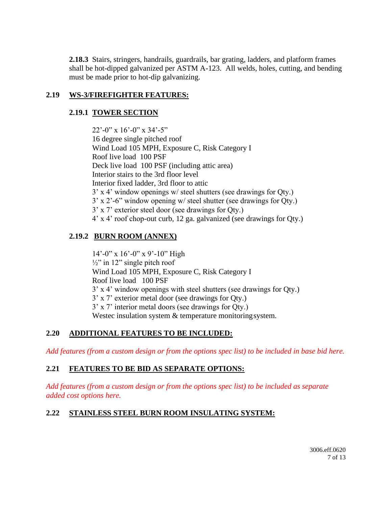**2.18.3** Stairs, stringers, handrails, guardrails, bar grating, ladders, and platform frames shall be hot-dipped galvanized per ASTM A-123. All welds, holes, cutting, and bending must be made prior to hot-dip galvanizing.

#### **2.19 WS-3/FIREFIGHTER FEATURES:**

#### **2.19.1 TOWER SECTION**

22'-0" x 16'-0" x 34'-5" 16 degree single pitched roof Wind Load 105 MPH, Exposure C, Risk Category I Roof live load 100 PSF Deck live load 100 PSF (including attic area) Interior stairs to the 3rd floor level Interior fixed ladder, 3rd floor to attic 3' x 4' window openings w/ steel shutters (see drawings for Qty.) 3' x 2'-6" window opening w/ steel shutter (see drawings for Qty.) 3' x 7' exterior steel door (see drawings for Qty.) 4' x 4' roof chop-out curb, 12 ga. galvanized (see drawings for Qty.)

## **2.19.2 BURN ROOM (ANNEX)**

14'-0" x 16'-0" x 9'-10" High  $\frac{1}{2}$ " in 12" single pitch roof Wind Load 105 MPH, Exposure C, Risk Category I Roof live load 100 PSF 3' x 4' window openings with steel shutters (see drawings for Qty.) 3' x 7' exterior metal door (see drawings for Qty.) 3' x 7' interior metal doors (see drawings for Qty.) Westec insulation system & temperature monitoring system.

#### **2.20 ADDITIONAL FEATURES TO BE INCLUDED:**

*Add features (from a custom design or from the options spec list) to be included in base bid here.*

#### **2.21 FEATURES TO BE BID AS SEPARATE OPTIONS:**

*Add features (from a custom design or from the options spec list) to be included as separate added cost options here.*

#### **2.22 STAINLESS STEEL BURN ROOM INSULATING SYSTEM:**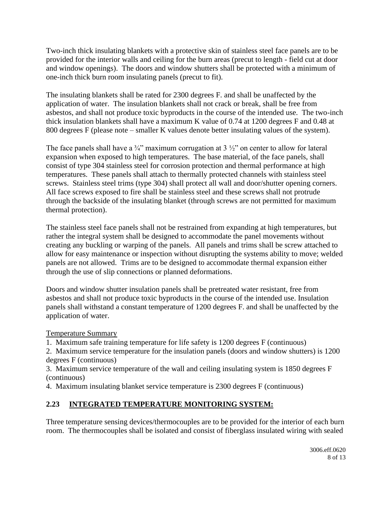Two-inch thick insulating blankets with a protective skin of stainless steel face panels are to be provided for the interior walls and ceiling for the burn areas (precut to length - field cut at door and window openings). The doors and window shutters shall be protected with a minimum of one-inch thick burn room insulating panels (precut to fit).

The insulating blankets shall be rated for 2300 degrees F. and shall be unaffected by the application of water. The insulation blankets shall not crack or break, shall be free from asbestos, and shall not produce toxic byproducts in the course of the intended use. The two-inch thick insulation blankets shall have a maximum K value of 0.74 at 1200 degrees F and 0.48 at 800 degrees F (please note – smaller K values denote better insulating values of the system).

The face panels shall have a  $\frac{3}{4}$ " maximum corrugation at 3  $\frac{1}{2}$ " on center to allow for lateral expansion when exposed to high temperatures. The base material, of the face panels, shall consist of type 304 stainless steel for corrosion protection and thermal performance at high temperatures. These panels shall attach to thermally protected channels with stainless steel screws. Stainless steel trims (type 304) shall protect all wall and door/shutter opening corners. All face screws exposed to fire shall be stainless steel and these screws shall not protrude through the backside of the insulating blanket (through screws are not permitted for maximum thermal protection).

The stainless steel face panels shall not be restrained from expanding at high temperatures, but rather the integral system shall be designed to accommodate the panel movements without creating any buckling or warping of the panels. All panels and trims shall be screw attached to allow for easy maintenance or inspection without disrupting the systems ability to move; welded panels are not allowed. Trims are to be designed to accommodate thermal expansion either through the use of slip connections or planned deformations.

Doors and window shutter insulation panels shall be pretreated water resistant, free from asbestos and shall not produce toxic byproducts in the course of the intended use. Insulation panels shall withstand a constant temperature of 1200 degrees F. and shall be unaffected by the application of water.

Temperature Summary

1. Maximum safe training temperature for life safety is 1200 degrees F (continuous)

2. Maximum service temperature for the insulation panels (doors and window shutters) is 1200 degrees F (continuous)

3. Maximum service temperature of the wall and ceiling insulating system is 1850 degrees F (continuous)

4. Maximum insulating blanket service temperature is 2300 degrees F (continuous)

# **2.23 INTEGRATED TEMPERATURE MONITORING SYSTEM:**

Three temperature sensing devices/thermocouples are to be provided for the interior of each burn room. The thermocouples shall be isolated and consist of fiberglass insulated wiring with sealed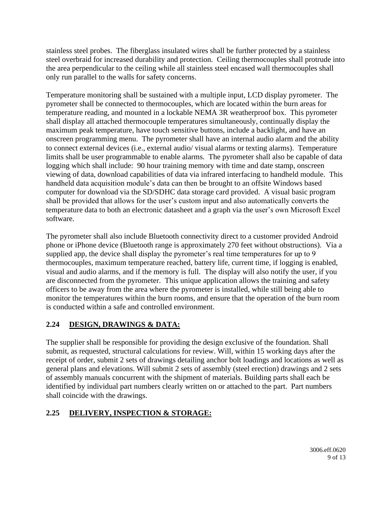stainless steel probes. The fiberglass insulated wires shall be further protected by a stainless steel overbraid for increased durability and protection. Ceiling thermocouples shall protrude into the area perpendicular to the ceiling while all stainless steel encased wall thermocouples shall only run parallel to the walls for safety concerns.

Temperature monitoring shall be sustained with a multiple input, LCD display pyrometer. The pyrometer shall be connected to thermocouples, which are located within the burn areas for temperature reading, and mounted in a lockable NEMA 3R weatherproof box. This pyrometer shall display all attached thermocouple temperatures simultaneously, continually display the maximum peak temperature, have touch sensitive buttons, include a backlight, and have an onscreen programming menu. The pyrometer shall have an internal audio alarm and the ability to connect external devices (i.e., external audio/ visual alarms or texting alarms). Temperature limits shall be user programmable to enable alarms. The pyrometer shall also be capable of data logging which shall include: 90 hour training memory with time and date stamp, onscreen viewing of data, download capabilities of data via infrared interfacing to handheld module. This handheld data acquisition module's data can then be brought to an offsite Windows based computer for download via the SD/SDHC data storage card provided. A visual basic program shall be provided that allows for the user's custom input and also automatically converts the temperature data to both an electronic datasheet and a graph via the user's own Microsoft Excel software.

The pyrometer shall also include Bluetooth connectivity direct to a customer provided Android phone or iPhone device (Bluetooth range is approximately 270 feet without obstructions). Via a supplied app, the device shall display the pyrometer's real time temperatures for up to 9 thermocouples, maximum temperature reached, battery life, current time, if logging is enabled, visual and audio alarms, and if the memory is full. The display will also notify the user, if you are disconnected from the pyrometer. This unique application allows the training and safety officers to be away from the area where the pyrometer is installed, while still being able to monitor the temperatures within the burn rooms, and ensure that the operation of the burn room is conducted within a safe and controlled environment.

# **2.24 DESIGN, DRAWINGS & DATA:**

The supplier shall be responsible for providing the design exclusive of the foundation. Shall submit, as requested, structural calculations for review. Will, within 15 working days after the receipt of order, submit 2 sets of drawings detailing anchor bolt loadings and locations as well as general plans and elevations. Will submit 2 sets of assembly (steel erection) drawings and 2 sets of assembly manuals concurrent with the shipment of materials. Building parts shall each be identified by individual part numbers clearly written on or attached to the part. Part numbers shall coincide with the drawings.

## **2.25 DELIVERY, INSPECTION & STORAGE:**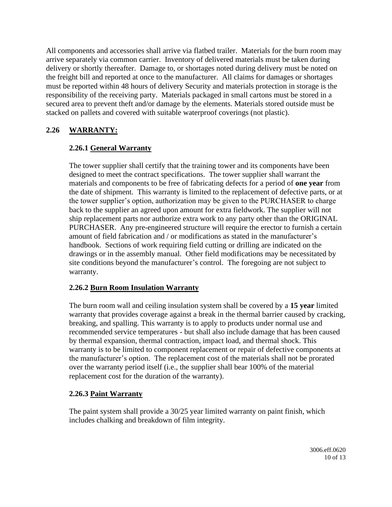All components and accessories shall arrive via flatbed trailer. Materials for the burn room may arrive separately via common carrier. Inventory of delivered materials must be taken during delivery or shortly thereafter. Damage to, or shortages noted during delivery must be noted on the freight bill and reported at once to the manufacturer. All claims for damages or shortages must be reported within 48 hours of delivery Security and materials protection in storage is the responsibility of the receiving party. Materials packaged in small cartons must be stored in a secured area to prevent theft and/or damage by the elements. Materials stored outside must be stacked on pallets and covered with suitable waterproof coverings (not plastic).

## **2.26 WARRANTY:**

#### **2.26.1 General Warranty**

The tower supplier shall certify that the training tower and its components have been designed to meet the contract specifications. The tower supplier shall warrant the materials and components to be free of fabricating defects for a period of **one year** from the date of shipment. This warranty is limited to the replacement of defective parts, or at the tower supplier's option, authorization may be given to the PURCHASER to charge back to the supplier an agreed upon amount for extra fieldwork. The supplier will not ship replacement parts nor authorize extra work to any party other than the ORIGINAL PURCHASER. Any pre-engineered structure will require the erector to furnish a certain amount of field fabrication and / or modifications as stated in the manufacturer's handbook. Sections of work requiring field cutting or drilling are indicated on the drawings or in the assembly manual. Other field modifications may be necessitated by site conditions beyond the manufacturer's control. The foregoing are not subject to warranty.

#### **2.26.2 Burn Room Insulation Warranty**

The burn room wall and ceiling insulation system shall be covered by a **15 year** limited warranty that provides coverage against a break in the thermal barrier caused by cracking, breaking, and spalling. This warranty is to apply to products under normal use and recommended service temperatures - but shall also include damage that has been caused by thermal expansion, thermal contraction, impact load, and thermal shock. This warranty is to be limited to component replacement or repair of defective components at the manufacturer's option. The replacement cost of the materials shall not be prorated over the warranty period itself (i.e., the supplier shall bear 100% of the material replacement cost for the duration of the warranty).

#### **2.26.3 Paint Warranty**

The paint system shall provide a 30/25 year limited warranty on paint finish, which includes chalking and breakdown of film integrity.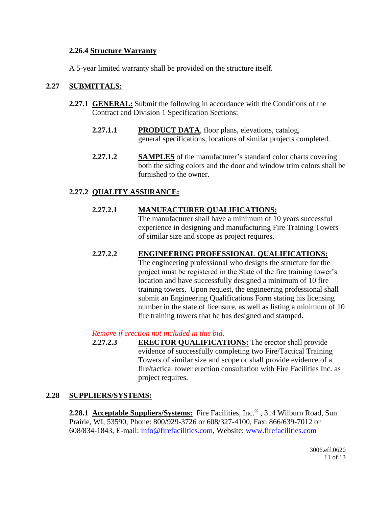#### **2.26.4 Structure Warranty**

A 5-year limited warranty shall be provided on the structure itself.

#### **2.27 SUBMITTALS:**

- **2.27.1 GENERAL:** Submit the following in accordance with the Conditions of the Contract and Division 1 Specification Sections:
	- **2.27.1.1 PRODUCT DATA**, floor plans, elevations, catalog, general specifications, locations of similar projects completed.
	- **2.27.1.2 SAMPLES** of the manufacturer's standard color charts covering both the siding colors and the door and window trim colors shall be furnished to the owner.

#### **2.27.2 QUALITY ASSURANCE:**

#### **2.27.2.1 MANUFACTURER QUALIFICATIONS:**

The manufacturer shall have a minimum of 10 years successful experience in designing and manufacturing Fire Training Towers of similar size and scope as project requires.

#### **2.27.2.2 ENGINEERING PROFESSIONAL QUALIFICATIONS:**

The engineering professional who designs the structure for the project must be registered in the State of the fire training tower's location and have successfully designed a minimum of 10 fire training towers. Upon request, the engineering professional shall submit an Engineering Qualifications Form stating his licensing number in the state of licensure, as well as listing a minimum of 10 fire training towers that he has designed and stamped.

#### *Remove if erection not included in this bid*.

**2.27.2.3 ERECTOR QUALIFICATIONS:** The erector shall provide evidence of successfully completing two Fire/Tactical Training Towers of similar size and scope or shall provide evidence of a fire/tactical tower erection consultation with Fire Facilities Inc. as project requires.

#### **2.28 SUPPLIERS/SYSTEMS:**

**2.28.1 Acceptable Suppliers/Systems:** Fire Facilities, Inc.® , 314 Wilburn Road, Sun Prairie, WI, 53590, Phone: 800/929-3726 or 608/327-4100, Fax: 866/639-7012 or 608/834-1843, E-mail: [info@firefacilities.com,](mailto:info@firefacilities.com) Website: [www.firefacilities.com](http://www.firefacilities.com/)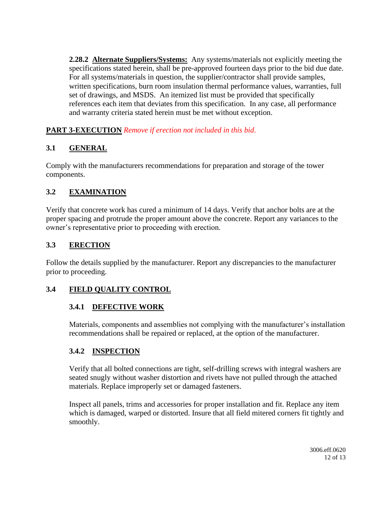**2.28.2 Alternate Suppliers/Systems:** Any systems/materials not explicitly meeting the specifications stated herein, shall be pre-approved fourteen days prior to the bid due date. For all systems/materials in question, the supplier/contractor shall provide samples, written specifications, burn room insulation thermal performance values, warranties, full set of drawings, and MSDS. An itemized list must be provided that specifically references each item that deviates from this specification. In any case, all performance and warranty criteria stated herein must be met without exception.

**PART 3-EXECUTION** *Remove if erection not included in this bid*.

## **3.1 GENERAL**

Comply with the manufacturers recommendations for preparation and storage of the tower components.

## **3.2 EXAMINATION**

Verify that concrete work has cured a minimum of 14 days. Verify that anchor bolts are at the proper spacing and protrude the proper amount above the concrete. Report any variances to the owner's representative prior to proceeding with erection.

## **3.3 ERECTION**

Follow the details supplied by the manufacturer. Report any discrepancies to the manufacturer prior to proceeding.

## **3.4 FIELD QUALITY CONTROL**

## **3.4.1 DEFECTIVE WORK**

Materials, components and assemblies not complying with the manufacturer's installation recommendations shall be repaired or replaced, at the option of the manufacturer.

## **3.4.2 INSPECTION**

Verify that all bolted connections are tight, self-drilling screws with integral washers are seated snugly without washer distortion and rivets have not pulled through the attached materials. Replace improperly set or damaged fasteners.

Inspect all panels, trims and accessories for proper installation and fit. Replace any item which is damaged, warped or distorted. Insure that all field mitered corners fit tightly and smoothly.